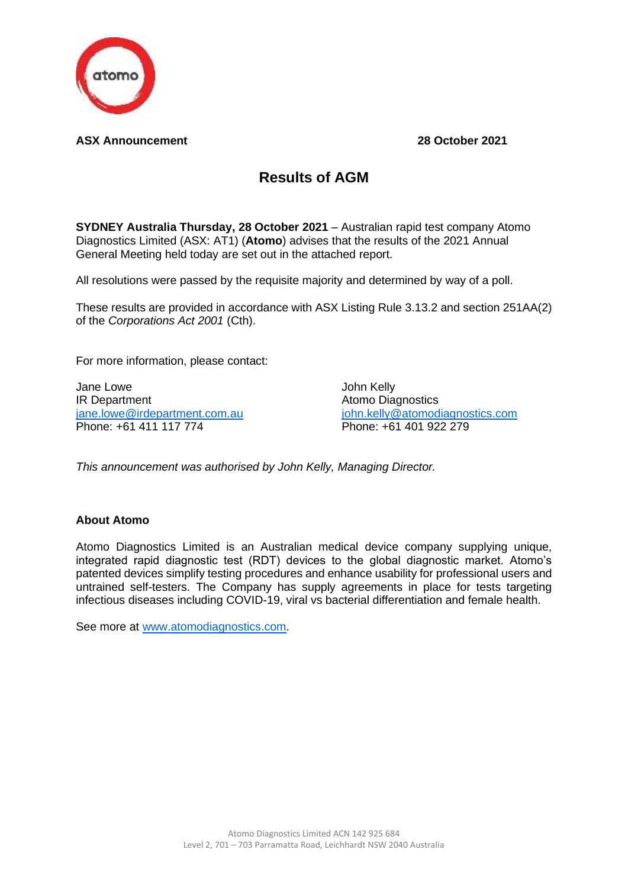

## **ASX Announcement 28 October 2021**

## **Results of AGM**

**SYDNEY Australia Thursday, 28 October 2021** – Australian rapid test company Atomo Diagnostics Limited (ASX: AT1) (**Atomo**) advises that the results of the 2021 Annual General Meeting held today are set out in the attached report.

All resolutions were passed by the requisite majority and determined by way of a poll.

These results are provided in accordance with ASX Listing Rule 3.13.2 and section 251AA(2) of the *Corporations Act 2001* (Cth).

For more information, please contact:

Jane Lowe **John Kelly** IR Department Atomo Diagnostics Phone: +61 411 117 774 Phone: +61 401 922 279

[jane.lowe@irdepartment.com.au](mailto:jane.lowe@irdepartment.com.au) [john.kelly@atomodiagnostics.com](mailto:john.kelly@atomodiagnostics.com)

*This announcement was authorised by John Kelly, Managing Director.* 

## **About Atomo**

Atomo Diagnostics Limited is an Australian medical device company supplying unique, integrated rapid diagnostic test (RDT) devices to the global diagnostic market. Atomo's patented devices simplify testing procedures and enhance usability for professional users and untrained self-testers. The Company has supply agreements in place for tests targeting infectious diseases including COVID-19, viral vs bacterial differentiation and female health.

See more at [www.atomodiagnostics.com.](http://www.atomodiagnostics.com/)